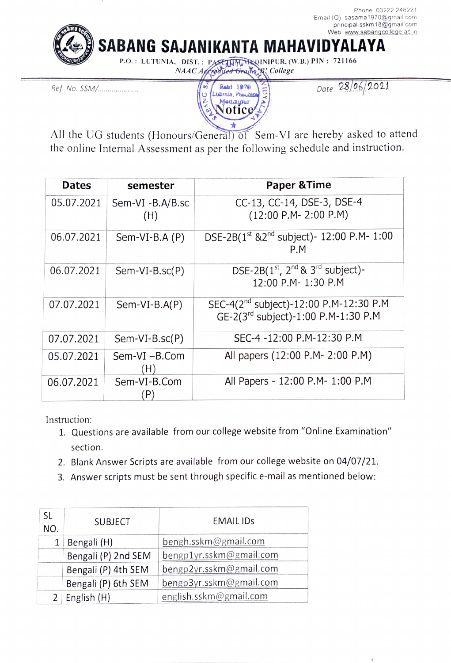Phone 03222 248221 Email (O) sasama1970@gmail com principal sskm 18@gmail com Web www.sabangcollege ac in

SABANG SAJANIKANTA MAHAVIDYALAYA

P.O.: LUTUNIA, DIST.: PASETHRDINIPUR, (W.B.) PIN: 721166 NAAC Affred yed Gruller B' College

Ref. No. SSM/.. Estd 1979



Date: 28/06/2021

All the UG students (Honours/General) of Sem-VI are hereby asked to attend the online Internal Assessment as per the following schedule and instruction.

| <b>Dates</b> | semester                                         | <b>Paper &amp; Time</b>                                                                   |
|--------------|--------------------------------------------------|-------------------------------------------------------------------------------------------|
| 05.07.2021   | Sem-VI -B.A/B.sc<br>(H)                          | CC-13, CC-14, DSE-3, DSE-4<br>$(12:00 P.M - 2:00 P.M)$                                    |
| 06.07.2021   | Sem-VI-B.A $(P)$                                 | DSE-2B( $1^{st}$ &2 <sup>nd</sup> subject)- 12:00 P.M- 1:00<br>P.M                        |
| 06.07.2021   | $Sem-VI-B.sc(P)$                                 | DSE-2B $(1st, 2nd$ & 3 <sup>rd</sup> subject)-<br>12:00 P.M- 1:30 P.M                     |
| 07.07.2021   | $Sem-VI-B.A(P)$                                  | SEC-4(2 <sup>nd</sup> subject)-12:00 P.M-12:30 P.M<br>GE-2(3rd subject)-1:00 P.M-1:30 P.M |
| 07.07.2021   | $Sem-VI-B.sc(P)$                                 | SEC-4 -12:00 P.M-12:30 P.M                                                                |
| 05.07.2021   | Sem-VI-B.Com<br>H)                               | All papers (12:00 P.M- 2:00 P.M)                                                          |
| 06.07.2021   | Sem-VI-B.Com<br>$\left  \mathsf{P}\right\rangle$ | All Papers - 12:00 P.M- 1:00 P.M                                                          |

Instruction:

- 1. Questions are available from our college website from "Online Examination" section.
- 2. Blank Answer Scripts are available from our college website on 04/07/21.
- 3 Answer scripts must be sent through specific e-mail as mentioned below:

| SL<br>NO.      | <b>SUBJECT</b>      | <b>EMAIL IDS</b>        |
|----------------|---------------------|-------------------------|
|                | Bengali (H)         | bengh.sskm@gmail.com    |
|                | Bengali (P) 2nd SEM | bengp1yr.sskm@gmail.com |
|                | Bengali (P) 4th SEM | bengp2yr.sskm@gmail.com |
|                | Bengali (P) 6th SEM | bengp3yr.sskm@gmail.com |
| $\overline{2}$ | English (H)         | english.sskm@gmail.com  |